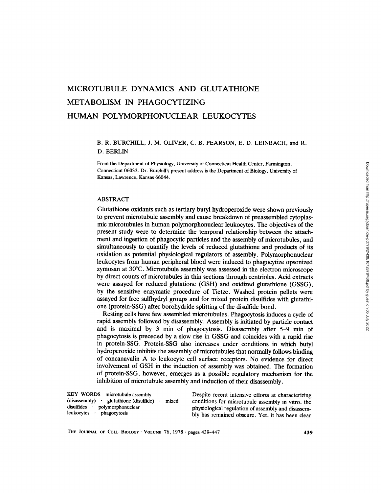# MICROTUBULE DYNAMICS AND GLUTATHIONE METABOLISM IN PHAGOCYTIZING HUMAN POLYMORPHONUCLEAR LEUKOCYTES

# B. R. BURCHILL, J. M. OLIVER, C. B. PEARSON, E. D. LEINBACH, and R. D. BERLIN

From the Department of Physiology, University of Connecticut Health Center, Farmington, Connecticut 06032. Dr. Burchill's present address is the Department of Biology, University of Kansas, Lawrence, Kansas 66044.

# ABSTRACT

Glutathione oxidants such as tertiary butyl hydroperoxide were shown previously to prevent microtubule assembly and cause breakdown of preassembled cytoplasmic microtubules in human polymorphonuclear leukocytes. The objectives of the present study were to determine the temporal relationship between the attachment and ingestion of phagocytic particles and the assembly of microtubules, and simultaneously to quantify the levels of reduced glutathione and products of its oxidation as potential physiological regulators of assembly. Polymorphonuclear leukocytes from human peripheral blood were induced to phagocytize opsonized zymosan at 30°C. Microtubule assembly was assessed in the electron microscope by direct counts of microtubules in thin sections through centrioles. Acid extracts were assayed for reduced glutatione (GSH) and oxidized glutathione (GSSG), by the sensitive enzymatic procedure of Tietze. Washed protein pellets were assayed for free sulfhydryl groups and for mixed protein disulfides with glutathione (protein-SSG) after borohydride splitting of the disulfide bond.

Resting cells have few assembled microtubules. Phagocytosis induces a cycle of rapid assembly followed by disassembly. Assembly is initiated by particle contact and is maximal by 3 min of phagocytosis. Disassembly after 5-9 min of phagocytosis is preceded by a slow rise in GSSG and coincides with a rapid rise in protein-SSG. Protein-SSG also increases under conditions in which butyl hydroperoxide inhibits the assembly of microtubules that normally follows binding of concanavalin A to leukocyte cell surface receptors. No evidence for direct involvement of GSH in the induction of assembly was obtained. The formation of protein-SSG, however, emerges as a possible regulatory mechanism for the inhibition of microtubule assembly and induction of their disassembly.

| KEY WORDS microtubule assembly                     | Despite recent intensive efforts at characterizing |
|----------------------------------------------------|----------------------------------------------------|
| $(dissesembly)$ glutathione $(disulfide)$<br>mixed | conditions for microtubule assembly in vitro, the  |
| disulfides polymorphonuclear                       | physiological regulation of assembly and disassem- |
| leukocytes<br>phagocytosis                         | bly has remained obscure. Yet, it has been clear   |

THE JOURNAL OF CELL BIOLOGY · VOLUME 76, 1978 · pages 439-447 **439**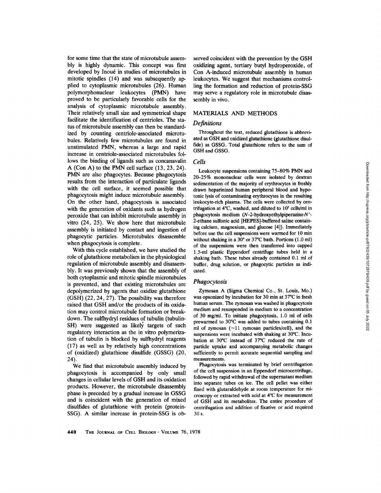for some time that the state of microtubule assembly is highly dynamic. This concept was first developed by Inoué in studies of microtubules in mitotic spindles (14) and was subsequently applied to cytoplasmic microtubules (26). Human polymorphonuclear leukocytes (PMN) have proved to be particularly favorable cells for the analysis of cytoplasmic microtubule assembly. Their relatively small size and symmetrical shape facilitate the identification of centrioles. The status of microtubule assembly can then be standardized by counting centriole-associated microtubules. Relatively few microtubules are found in unstimulated PMN, whereas a large and rapid increase in centriole-associated microtubules follows the binding of ligands such as concanavalin A (Con A) to the PMN cell surface (13, 23, 24). PMN are also phagocytes. Because phagocytosis results from the interaction of particulate ligands with the cell surface, it seemed possible that phagocytosis might induce microtubule assembly. On the other hand, phagocytosis is associated with the generation of oxidants such as hydrogen peroxide that can inhibit microtubule assembly in vitro (24, 25). We show here that microtubule assembly is initiated by contact and ingestion of phagocytic particles. Microtubules disassemble when phagocytosis is complete.

With this cycle established, we have studied the role of glutathione metabolism in the physiological regulation of microtubule assembly and disassembly. It was previously shown that the assembly of both cytoplasmic and mitotic spindle microtubules is prevented, and that existing microtubules are depolymerized by agents that oxidize glutathione (GSH) (22, 24, 27). The possibility was therefore raised that GSH and/or the products of its oxidation may control microtubule formation or breakdown. The sulfhydryl residues of tubulin (tubulin-SH) were suggested as likely targets of such regulatory interaction as the in vitro polymerization of tubulin is blocked by sulfhydryl reagents (17) as well as by relatively high concentrations of (oxidized) glutathione disulfide (GSSG) (20, 24).

We find that microtubule assembly induced by phagocytosis is accompanied by only small changes in cellular levels of GSH and its oxidation products. However, the microtubule disassembly phase is preceded by a gradual increase in GSSG and is coincident with the generation of mixed disulfides of glutathione with protein (protein-SSG). A similar increase in protein-SSG is ohserved coincident with the prevention by the GSH oxidizing agent, tertiary butyl hydroperoxide, of Con A-induced microtubule assembly in human leukocytes. We suggest that mechanisms controlling the formation and reduction of protein-SSG may serve a regulatory role in microtubule disassembly in vivo.

### MATERIALS AND METHODS

#### *Definitions*

Throughout the text, reduced glutathione is abbreviated as GSH and oxidized glutathione (glutathione disulfide) as GSSG. Total glutathione refers to the sum of GSH and GSSG.

### *Cells*

Leukocyte suspensions containing 75-80% PMN and 20-25% mononuclear cells were isolated by dextran sedimentation of the majority of erythrocytes in freshly drawn heparinized human peripheral blood and hypotonic lysis of contaminating erythrocytes in the resulting leukocyte-rich plasma. The cells were collected by centrifugation at  $4^{\circ}$ C, washed, and diluted to  $10^7$  cells/ml in phagocytosis medium (N-2-hydroxyethylpiperazine-N'- 2-ethane sulfonic acid [HEPES]-buffered saline containing calcium, magnesium, and glucose [4]). Immediately before use the cell suspensions were warmed for 10 min without shaking in a  $30^{\circ}$  or  $37^{\circ}$ C bath. Portions (1.0 ml) of the suspensions were then transferred into capped 1.5-ml plastic Eppendorf centrifuge tubes held in a shaking bath. These tubes already contained 0.1 ml of buffer, drug solution, or phagocytic particles as indicated.

#### *Phagocytosis*

Zymosan A (Sigma Chemical Co., St. Louis, Mo.) was opsonized by incubation for 30 min at 37°C in fresh human serum. The zymosan was washed in phagocytosis medium and resuspended in medium to a concentration of 30 mg/ml. To initiate phagocytosis, 1.0 ml of cells prewarmed to 30°C was added to tubes containing 0.1 ml of zymosan  $(-11$  zymosan particles/cell), and the suspensions were incubated with shaking at 30°C. Incubation at  $30^{\circ}$ C instead of  $37^{\circ}$ C reduced the rate of particle uptake and accompanying metabolic changes sufficiently to permit accurate sequential sampling and measurements.

Phagocytosis was terminated by brief centrifugation of the cell suspension in an Eppendorf microcentrifuge, followed by rapid withdrawal of the supernatant medium into separate tubes on ice. The cell pellet was either fixed with glutaraldehyde at room temperature for microscopy or extracted with acid at 4°C for measurement of GSH and its metabolites. The entire procedure of centrifugation and addition of fixative or acid required 30 s.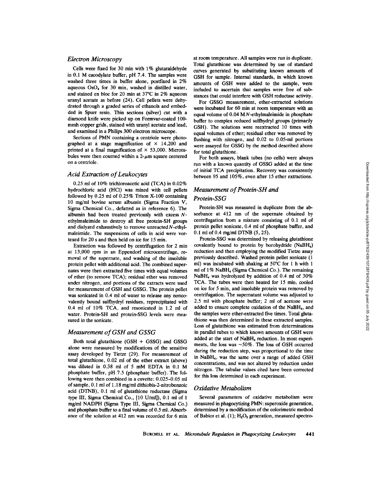#### *Electron Microscopy*

Cells were fixed for 30 min with 1% glutaraldehyde in 0.1 M cacodylate buffer, pH 7.4. The samples were washed three times in buffer alone, posffixed in 2% aqueous  $OsO<sub>4</sub>$  for 30 min, washed in distilled water, and stained en bloc for 20 min at  $37^{\circ}$ C in 2% aqueous uranyl acetate as before (24). Cell pellets were dehydrated through a graded series of ethanols and embedded in Spurr resin. Thin sections (silver) cut with a diamond knife were picked up on Formvar-coated 100 mesh copper grids, stained with uranyl acetate and lead, and examined in a Philips 300 electron microscope.

Sections of PMN containing a centriole were photographed at a stage magnification of  $\times$  14,200 and printed at a final magnification of  $\times$  53,000. Microtubules were then counted within a  $2-\mu m$  square centered on a centriole.

#### *Acid Extraction of Leukocytes*

0.25 ml of 10% trichloroacetic acid (TCA) in 0.02% hydrochloric acid (HCI) was mixed with cell pellets followed by 0.25 ml of 0.25% Triton X-100 containing 10 mg/ml bovine serum albumin (Sigma Fraction V, Sigma Chemical Co., defatted as in reference 6). The albumin had been treated previously with excess Nethylmaleimide to destroy all free protein-SH groups and dialyzed exhaustively to remove unreacted  $N$ -ethylmaleimide. The suspensions of cells in acid were vortexed for 20 s and then held on ice for 15 min.

Extraction was followed by centrifugation for 2 min at 13,000 rpm in an Eppendorf microcentrifuge, removal of the supernate, and washing of the insoluble protein pellet with additional acid. The combined supernates were then extracted five times with equal volumes of ether (to remove TCA); residual ether was removed under nitrogen, and portions of the extracts were used for measurement of GSH and GSSG. The protein pellet was sonicated in 0.4 ml of water to release any noncovalently bound sulfhydryl residues, reprecipitated with 0.4 ml of 10% TCA, and resonicated in 1.2 ml of water. Protein-SH and protein-SSG levels were measured in the sonicate.

## *Measurement of GSH and GSSG*

Both total glutathione (GSH + GSSG) and GSSG alone were measured by modifications of the sensitive assay developed by Tietze (29). For measurement of total glutathione, 0.02 ml of the ether extract (above) was diluted in 0.38 ml of 5 mM EDTA in 0.1 M phosphate buffer, pH 7.5 (phosphate buffer). The following were then combined in a cuvette: 0.025-0.05 ml of sample, 0.1 ml of 1.18 mg/mi dithiobis-2-nitrobenzoic acid (DTNB), 0.I ml of glutathione reductase (Sigma type III, Sigma Chemical Co., [10 U/ml]), 0.1 ml of 1 mg/ml NADPH (Sigma Type III, Sigma Chemical Co.) and phosphate buffer to a final volume of 0.5 ml. Absorbance of the solution at 412 nm was recorded for 6 min

at room temperature. All samples were run in duplicate. Total glutathione was determined by use of standard curves generated by substituting known amounts of GSH for sample. Internal standards, in which known amounts of GSH were added to the sample, were included to ascertain that samples were free of substances that could interfere with GSH reductase activity.

For GSSG measurement, ether-extracted solutions were incubated for 60 min at room temperature with an equal volume of  $0.04$  M $N$ -ethylmaleimide in phosphate buffer to complex reduced sulfhydryl groups (primarily GSH). The solutions were reextracted 10 times with equal volumes of ether; residual ether was removed by flushing with nitrogen, and 0.02 to 0.05-ml portions were assayed for GSSG by the method described above for total glutathione.

For both assays, blank tubes (no cells) were always run with a known quantity of GSSG added at the time of initial TCA precipitation. Recovery was consistently between 95 and 105%, even after 15 ether extractions.

# *Measurement of Protein-SH and Protein-SSG*

Protein-SH was measured in duplicate from the absorbance at 412 nm of the supernate obtained by centrifugation from a mixture consisting of 0.1 ml of protein pellet sonicate, 0.4 ml of phosphate buffer, and 0.1 ml of 0.4 mg/ml DTNB (5, 25).

Protein-SSG was determined by releasing glutathione covalently bound to protein by borohydride  $(NaBH<sub>4</sub>)$ reduction and then employing the modified Tietze assay previously described. Washed protein pellet sonicate (1 ml) was incubated with shaking at  $50^{\circ}$ C for 1 h with 1 ml of  $1\%$  NaBH<sub>4</sub> (Sigma Chemical Co.). The remaining *NaBH4* was hydrolyzed by addition of 0.4 ml of 30% TCA. The tubes were then heated for 15 min, cooled on ice for 5 min, and insoluble protein was removed by centrifugation. The supernatant volume was adjusted to 2.5 ml with phosphate buffer; 2 ml of acetone were added to ensure complete oxidation of the NaBH4, and the samples were ether-extracted five times. Total glutathione was then determined in these extracted samples. Loss of glutathione was estimated from determinations in parallel tubes to which known amounts of GSH were added at the start of NaBH<sub>4</sub> reduction. In most experiments, the loss was  $\sim 50\%$ . The loss of GSH occurred during the reduction step, was proportional to the time in NaBH<sub>4</sub>, was the same over a range of added GSH concentrations, and was not altered by reduction under nitrogen. The tabular values cited have been corrected for this loss determined in each experiment.

#### *Oxidative Metabolism*

Several parameters of oxidative metabolism were measured in phagocyfizing PMN: superoxide generation, determined by a modification of the colorimetric method of Babior et al.  $(1)$ ;  $H_2O_2$  generation, measured spectro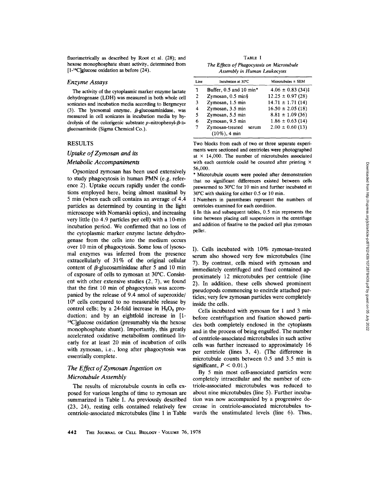fluorimetrically as described by Root et al. (28); and hexose monophosphate shunt activity, determined from [1-14C]glucose oxidation as before (24).

#### *Enzyme Assays*

The activity of the cytoplasmic marker enzyme lactate dehydrogenase (LDH) was measured in both whole cell sonicates and incubation media according to Bergmeyer (3). The lysosomal enzyme,  $\beta$ -glucosaminidase, was measured in cell sonicates in incubation media by hydrolysis of the colorigenic substrate  $p$ -nitrophenyl- $\beta$ -Dglucosaminide (Sigma Chemical Co.).

## **RESULTS**

# *Uptake of Zymosan and its*

### *Metabolic Accompaniments*

Opsonized zymosan has been used extensively to study phagocytosis in human PMN (e.g. reference 2). Uptake occurs rapidly under the conditions employed here, being almost maximal by 5 min (when each cell contains an average of 4.4 particles as determined by counting in the light microscope with Nomarski optics), and increasing very little (to 4.9 particles per cell) with a 10-min incubation period. We confirmed that no loss of the cytoplasmic marker enzyme lactate dehydrogenase from the cells into the medium occurs over 10 min of phagocytosis. Some loss of lysosomal enzymes was inferred from the presence extracellularly of 31% of the original cellular content of  $\beta$ -glucosaminidase after 5 and 10 min of exposure of cells to zymosan at 30°C. Consistent with other extensive studies (2, 7), we found that the first 10 min of phagocytosis was accompanied by the release of 9.4 nmol of superoxide/ 10<sup>6</sup> cells compared to no measurable release by control cells; by a 24-fold increase in  $H_2O_2$  production; and by an eightfold increase in [1-  $^{14}$ C]glucose oxidation (presumably via the hexose monophosphate shunt). Importantly, this greatly accelerated oxidative metabolism continued linearly for at least 20 min of incubation of cells with zymosan, i.e., long after phagocytosis was essentially complete.

# *The Effect of Zymosan Ingestion on Microtubule Assembly*

The results of microtubule counts in cells exposed for various lengths of time to zymosan are summarized in Table I. As previously described (23, 24), resting cells contained relatively few centriole-associated microtubules (line 1 in Table

TABLE I *The Effects of Phagocytosis on Microtubule Assembly in Human Leukocytes* 

| Line         | Incubation at 30°C       | Microtubules $\pm$ SEM |  |  |
|--------------|--------------------------|------------------------|--|--|
| 1            | Buffer, 0.5 and 10 min*  | $4.06 \pm 0.83$ (34)‡  |  |  |
| $\mathbf{2}$ | Zymosan, $0.5$ min $\S$  | $12.25 \pm 0.97(28)$   |  |  |
| 3            | Zymosan, 1.5 min         | $14.71 \pm 1.71(14)$   |  |  |
| 4            | Zymosan, 3.5 min         | $16.50 \pm 2.05(18)$   |  |  |
| 5            | Zymosan, 5.5 min         | $8.81 \pm 1.09$ (36)   |  |  |
| 6            | Zymosan, 9.5 min         | $1.86 \pm 0.63$ (14)   |  |  |
| 7            | Zymosan-treated<br>serum | $2.00 \pm 0.60$ (13)   |  |  |
|              | $(10\%)$ , 4 min         |                        |  |  |

Two blocks from each of two or three separate experiments were sectioned and centrioles were photographed at  $\times$  14,000. The number of microtubules associated with each centriole could be counted after printing  $\times$ 56,000.

\* Microtubule counts were pooled after demonstration that no signifcant differences existed between cells prewarmed to  $30^{\circ}$ C for 10 min and further incubated at  $30^{\circ}$ C with shaking for either 0.5 or 10 min.

~: Numbers in parentheses represent the numbers of centrioles examined for each condition.

 $§$  In this and subsequent tables, 0.5 min represents the time between placing cell suspensions in the centrifuge and addition of fixative to the packed cell plus zymosan pellet.

I). Cells incubated with 10% zymosan-treated serum also showed very few microtubules (line 7). By contrast, cells mixed with zymosan and immediately centrifuged and fixed contained approximately 12 microtubules per centriole (line 2). In addition, these cells showed prominent pseudopods commencing to encircle attached partides; very few zymosan particles were completely inside the cells.

Cells incubated with zymosan for 1 and 3 min before centrifugation and fixation showed particles both completely enclosed in the cytoplasm and in the process of being engulfed. The number of centriole-associated microtubules in such active cells was further increased to approximately 16 per centriole (lines 3, 4). (The difference in microtubule counts between  $0.5$  and  $3.5$  min is significant,  $P < 0.01$ .)

By 5 min most cell-associated particles were completely intracellular and the number of centriole-associated microtubules was reduced to about nine microtubules (line 5). Further incubation was now accompanied by a progressive decrease in centriole-associated microtubules towards the unstimulated levels (line 6). Thus,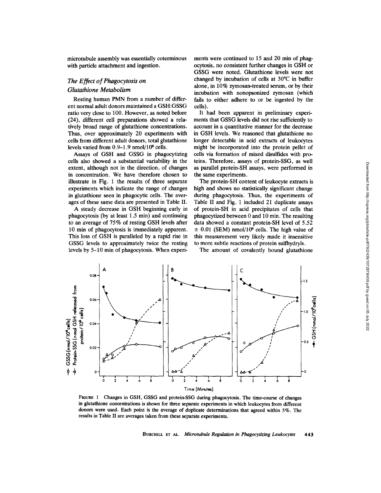microtubule assembly was essentially coterminous with particle attachment and ingestion.

# *The Effect of Phagocytosis on Glutathione Metabolism*

Resting human PMN from a number of different normal adult donors maintained a GSH:GSSG ratio very close to 100. However, as noted before (24), different cell preparations showed a relatively broad range of glutathione concentrations. Thus, over approximately 20 experiments with cells from different adult donors, total glutathione levels varied from  $0.9-1.9$  nmol/ $10<sup>6</sup>$  cells.

Assays of GSH and GSSG in phagocytizing cells also showed a substantial variability in the extent, although not in the direction, of changes in concentration. We have therefore chosen to illustrate in Fig. 1 the results of three separate experiments which indicate the range of changes in glutathione seen in phagocytic cells. The averages of these same data are presented in Table II.

A steady decrease in GSH beginning early in phagocytosis (by at least 1.5 min) and continuing to an average of 75% of resting GSH levels after 10 min of phagocytosis is immediately apparent. This loss of GSH is paralleled by a rapid rise in GSSG levels to approximately twice the resting levels by 5-10 min of phagocytosis. When experiments were continued to 15 and 20 min of phagocytosis, no consistent further changes in GSH or GSSG were noted. Glutathione levels were not changed by incubation of cells at  $30^{\circ}$ C in buffer alone, in 10% zymosan-treated serum, or by their incubation with nonopsonized zymosan (which fails to either adhere to or be ingested by the cells).

It had been apparent in preliminary experiments that GSSG levels did not rise sufficiently to account in a quantitative manner for the decrease in GSH levels. We reasoned that glutathione no longer detectable in acid extracts of leukocytes might be incorporated into the protein pellet of cells via formation of mixed disulfides with proteins. Therefore, assays of protein-SSG, as well as parallel protein-SH assays, were performed in the same experiments.

The protein-SH content of leukocyte extracts is high and shows no statistically significant change during phagocytosis. Thus, the experiments of Table II and Fig. 1 included 21 duplicate assays of protein-SH in acid precipitates of cells that phagocytized between 0 and 10 min. The resulting data showed a constant protein-SH level of 5.52  $\pm$  0.01 (SEM) nmol/10<sup>6</sup> cells. The high value of this measurement very likely made it insensitive to more subtle reactions of protein sulfhydryls.

The amount of covalently bound glutathione



FIGURE 1 Changes in GSH, GSSG and protein-SSG during phagocytosis. The time-course of changes in glutathione concentrations is shown for three separate experiments in which leukocytes from different donors were used. Each point is the average of duplicate determinations that agreed within 5%. The results in Table II are averages taken from these separate experiments.

BUrCmLL ET AL. *Microtubule Regulation in Phagocytizing Leukocytes* 443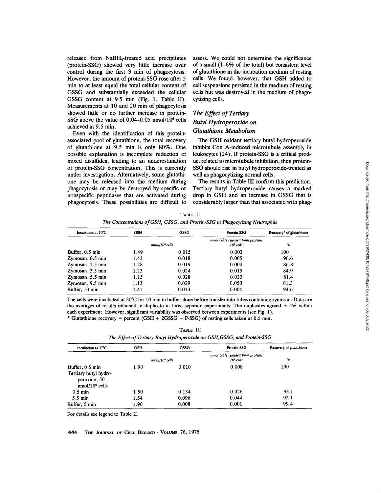released from NaBH4-treated acid precipitates (protein-SSG) showed very little increase over control during the first 3 min of phagocytosis. However, the amount of protein-SSG rose after 5 min to at least equal the total cellular content of GSSG and substantially exceeded the cellular GSSG content at 9.5 min (Fig. 1, Table II). Measurements at 10 and 20 min of phagocytosis showed little or no further increase in protein-SSG above the value of  $0.04-0.05$  nmol/ $10<sup>6</sup>$  cells achieved at 9.5 min.

Even with the identification of this proteinassociated pool of glutathione, the total recovery of glutathione at 9.5 min is only 80%. One possible explanation is incomplete reduction of mixed disulfides, leading to an underestimation of protein-SSG concentration. This is currently under investigation. Alternatively, some glutathione may be released into the medium during phagocytosis or may be destroyed by specific or nonspecific peptidases that are activated during phagocytosis. These possibilities are difficult to assess. We could not determine the significance of a small (1-6% of the total) but consistent level of glutathione in the incubation medium of resting cells. We found, however, that GSH added to cell suspensions persisted in the medium of resting cells but was destroyed in the medium of phagocytizing cells.

# *The Effect of Tertiary Butyl Hydroperoxide on Glutathione Metabolism*

The GSH oxidant tertiary butyl hydroperoxide inhibits Con A-induced microtubule assembly in leukocytes (24). If protein-SSG is a critical product related to microtubule inhibition, then protein-SSG should rise in butyl hydroperoxide-treated as well as phagocytizing normal cells.

The results in Table III confirm this prediction. Tertiary butyl hydroperoxide causes a marked drop in GSH and an increase in GSSG that is considerably larger than that associated with phag-

TABLE II *The Concentrations of GSH, GSSG, and Protein-SSG in Phagocytizing Neutrophils* 

| Incubation at 30°C        | GSH  | GSSG             | Protein-SSG                                         | Recovery* of glutathione |
|---------------------------|------|------------------|-----------------------------------------------------|--------------------------|
|                           |      | $nmol/l06$ cells | nmol GSH released from protein/<br>$106$ cells<br>% |                          |
|                           |      |                  |                                                     |                          |
| Buffer, $0.5 \text{ min}$ | 1.49 | 0.015            | 0.003                                               | 100                      |
| Zymosan, 0.5 min          | 1.43 | 0.018            | 0.005                                               | 96.6                     |
| Zymosan, 1.5 min          | 1.28 | 0.019            | 0.004                                               | 86.8                     |
| Zymosan, 3.5 min          | 1.23 | 0.024            | 0.015                                               | 84.9                     |
| Zymosan, 5.5 min          | 1.15 | 0.028            | 0.033                                               | 81.4                     |
| Zymosan, 9.5 min          | 1.13 | 0.029            | 0.050                                               | 81.3                     |
| Buffer, 10 min            | 1.41 | 0.013            | 0.004                                               | 94.6                     |

The cells were incubated at 30°C for 10 min in buffer alone before transfer into tubes containing zymosan. Data are the averages of results obtained in duplicate in three separate experiments. The duplicates agreed  $\pm$  5% within each experiment. However, significant variability was observed between experiments (see Fig. 1).

\* Glutathione recovery = percent (GSH + 2GSSG + P-SSG) of resting cells taken at 0.5 min.

TABLE III

| The Effect of Tertiary Butyl Hydroperoxide on GSH, GSSG, and Protein-SSG |
|--------------------------------------------------------------------------|
|--------------------------------------------------------------------------|

| Incubation at 37°C                                                                     | <b>GSH</b>      | <b>GSSG</b> | Protein-SSG                                            | Recovery of glutathione |
|----------------------------------------------------------------------------------------|-----------------|-------------|--------------------------------------------------------|-------------------------|
|                                                                                        | $nmol106$ cells |             | nmol GSH released from protein/<br>$\%$<br>$108$ cells |                         |
| Buffer, $0.5 \text{ min}$<br>Tertiary butyl hydro-<br>peroxide, 50<br>$nmol/106$ cells | 1.90            | 0.010       | 0.008                                                  | 100                     |
| $0.5$ min                                                                              | 1.50            | 0.134       | 0.026                                                  | 93.1                    |
| $5.5 \text{ min}$                                                                      | 1.54            | 0.096       | 0.044                                                  | 92.1                    |
| Buffer, 5 min                                                                          | 1.90            | 0.008       | 0.001                                                  | 99.4                    |

For details see legend to Table II.

444 THE JOURNAL OF CELL BIOLOGY · VOLUME 76, 1978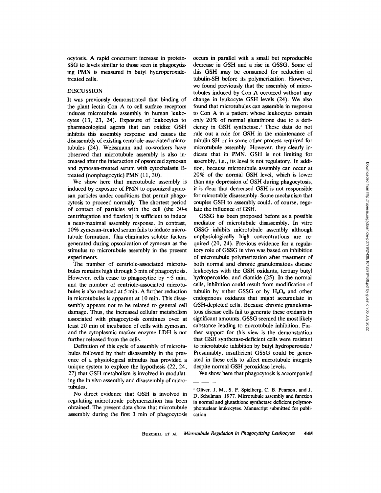ocytosis. A rapid concurrent increase in protein-SSG to levels similar to those seen in phagocytizing PMN is measured in butyl hydroperoxidetreated cells.

#### DISCUSSION

It was previously demonstrated that binding of the plant lectin Con A to cell surface receptors induces microtubule assembly in human leukocytes (13, 23, 24). Exposure of leukocytes to pharmacological agents that can oxidize GSH inhibits this assembly response and causes the disassembly of existing centriole-associated microtubules (24). Weissmann and co-workers have observed that microtubule assembly is also increased after the interaction of opsonized zymosan and zymosan-treated serum with cytochalasin Btreated (nonphagocytic) PMN (11, 30).

We show here that microtubule assembly is induced by exposure of PMN to opsonized zymosan particles under conditions that permit phagocytosis to proceed normally. The shortest period of contact of particles with the cell (the 30-s centrifugation and fixation) is sufficient to induce a near-maximal assembly response. In contrast, 10% zymosan-treated serum fails to induce microtubule formation. This eliminates soluble factors generated during opsonization of zymosan as the stimulus to microtubule assembly in the present experiments.

The number of centriole-associated microtubules remains high through 3 min of phagocytosis. However, cells cease to phagocytize by  $\sim$  5 min, and the number of centriole-associated microtubules is also reduced at 5 min. A further reduction in microtubules is apparent at 10 min. This disassembly appears not to be related to general cell damage. Thus, the increased cellular metabolism associated with phagocytosis continues over at least 20 min of incubation of cells with zymosan, and the cytoplasmic marker enzyme LDH is not further released from the ceils.

Definition of this cycle of assembly of microtubules followed by their disassembly in the presence of a physiological stimulus has provided a unique system to explore the hypothesis (22, 24, 27) that GSH metabolism is involved in modulating the in vivo assembly and disassembly of microtubules.

No direct evidence that GSH is involved in regulating microtubule polymerization has been obtained. The present data show that microtubule assembly during the first 3 min of phagocytosis occurs in parallel with a small but reproducible decrease in GSH and a rise in GSSG. Some of this GSH may be consumed for reduction of tubulin-SH before its polymerization. However, we found previously that the assembly of microtubules induced by Con A occurred without any change in leukocyte GSH levels (24). We also found that microtubules can assemble in response to Con A in a patient whose leukocytes contain only 20% of normal glutathione due to a deficiency in GSH synthetase.<sup>1</sup> These data do not rule out a role for GSH in the maintenance of tubulin-SH or in some other process required for microtubule assembly. However, they clearly indicate that in PMN, GSH is not limiting for assembly, i.e., its level is not regulatory. In addition, because microtubule assembly can occur at 20% of the normal GSH level, which is lower than any depression of GSH during phagocytosis, it is clear that decreased GSH is not responsible for microtuble disassembly. Some mechanism that couples GSH to assembly could, of course, regulate the influence of GSH.

GSSG has been proposed before as a possible mediator of microtubule disassembly. In vitro GSSG inhibits microtubule assembly although unphysiologically high concentrations are required (20, 24). Previous evidence for a regulatory role of GSSG in vivo was based on inhibition of microtubule polymerization after treatment of both normal and chronic granulomatous disease leukocytes with the GSH oxidants, tertiary butyl hydroperoxide, and diamide (25). In the normal cells, inhibition could result from modification of tubulin by either GSSG or by  $H_2O_2$  and other endogenous oxidants that might accumulate in GSH-depleted cells. Because chronic granulomatous disease cells fail to generate these oxidants in significant amounts, GSSG seemed the most likely substance leading to microtubule inhibition. Further support for this view is the demonstration that GSH synthetase-deficient cells were resistant to microtubule inhibition by butyl hydroperoxide.<sup>1</sup> Presumably, insufficient GSSG could be generated in these cells to affect microtubule integrity despite normal GSH peroxidase levels.

We show here that phagocytosis is accompanied

i Oliver, J. M., S. P. Spielberg, C. B. Pearson, and J. D. Schulman. 1977. Microtubule assembly and function in normal and glutathione synthetase deficient polymorphonuclear leukocytes. Manuscript submitted for publication.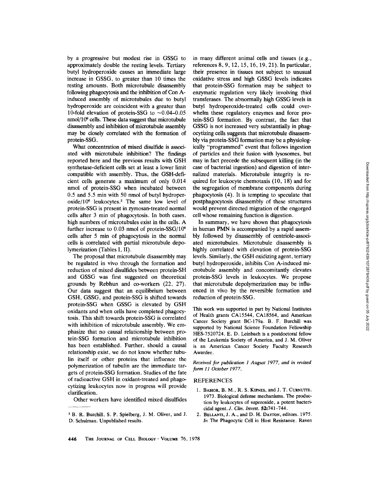by a progressive but modest rise in GSSG to approximately double the resting levels. Tertiary butyl hydroperoxide causes an immediate large increase in GSSG, to greater than 10 times the resting amounts. Both microtubule disassembly following phagocytosis and the inhibition of Con Ainduced assembly of microtubules due to butyl hydroperoxide are coincident with a greater than 10-fold elevation of protein-SSG to  $\sim 0.04 - 0.05$  $nmol/10<sup>6</sup>$  cells. These data suggest that microtubule disassembly and inhibition of microtubule assembly may be closely correlated with the formation of protein-SSG.

What concentration of mixed disulfide is associated with microtubule inhibition? The findings reported here and the previous results with GSH synthetase-deficient cells set at least a lower limit compatible with assembly. Thus, the GSH-deficient cells generate a maximum of only 0.014 nmol of protein-SSG when incubated between 0.5 and 5.5 min with 50 nmol of butyl hydroper $oxide/10^6$  leukocytes.<sup>2</sup> The same low level of protein-SSG is present in zymosan-treated normal cells after 3 min of phagocytosis. In both cases, high numbers of microtubules exist in the cells. A further increase to 0.03 nmol of protein-SSG/106 cells after 5 min of phagocytosis in the normal cells is correlated with partial microtubule depolymerization (Tables I, II).

The proposal that microtubule disassembly may be regulated in vivo through the formation and reduction of mixed disulfides between protein-SH and GSSG was first suggested on theoretical grounds by Rebhun and co-workers (22, 27). Our data suggest that an equilibrium between GSH, GSSG, and protein-SSG is shifted towards protein-SSG when GSSG is elevated by GSH oxidants and when cells have completed phagocytosis. This shift towards protein-SSG is correlated with inhibition of microtubule assembly. We emphasize that no causal relationship between protein-SSG formation and microtubule inhibition has been established. Further, should a causal relationship exist, we do not know whether tubulin itself or other proteins that influence the polymerization of tubulin are the immediate targets of protein-SSG formation. Studies of the fate of radioactive GSH in oxidant-treated and phagocytizing leukocytes now in progress will provide clarification.

Other workers have identified mixed disulfides

in many different animal cells and tissues (e.g., references 8, 9, 12, 15, 16, 19, 21). In particular, their presence in tissues not subject to unusual oxidative stress and high GSSG levels indicates that protein-SSG formation may be subject to enzymatic regulation very likely involving thiol transferases. The abnormally high GSSG levels in butyl hydroperoxide-treated cells could overwhelm these regulatory enzymes and force protein-SSG formation. By contrast, the fact that GSSG is not increased very substantially in phagocytizing cells suggests that microtubule disassembly via protein-SSG formation may be a physiologically "programmed" event that follows ingestion of particles and their fusion with lysosomes, but may in fact precede the subsequent killing (in the case of bacterial ingestion) and digestion of internalized materials. Microtubule integrity is required for leukocyte chemotaxis (10, 18) and for the segregation of membrane components during phagocytosis (4). It is tempting to speculate that postphagocytosis disassembly of these structures would prevent directed migration of the engorged cell whose remaining function is digestion.

In summary, we have shown that phagocytosis in human PMN is accompanied by a rapid assembly followed by disassembly of centriole-associated microtubules. Microtubule disassembly is highly correlated with elevation of protein-SSG levels. Similarly, the GSH oxidizing agent, tertiary butyl hydroperoxide, inhibits Con A-induced microtubule assembly and concomitantly elevates protein-SSG levels in leukocytes. We propose that microtubule depolymerization may be influenced in vivo by the reversible formation and reduction of protein-SSG.

This work was supported in part by National Institutes of Health grants CA15544, CA18564, and American Cancer Society grant BC-179a. B. F. Burchill was supported by National Science Foundation Fellowship HES-7520724. E. D. Leinbach is a postdoctoral fellow of the Leukemia Society of America, and J. M. Oliver is an American Cancer Society Faculty Research Awardee.

*Received for publication 1 August 1977, and in revised form 11 October 1977.* 

#### **REFERENCES**

- 1. BABIOR, B. M., R. S. KIPNES, and J. T. CURNUTTE. 1973. Biological defense mechanisms. The production by leukocytes of superoxide, a potent bactericidal agent. *J. Clin. Invest.* 52:741-744.
- 2. BELLANTI, J. A., and D. H. DAYTON, editors. 1975. *In* The Phagocytic Cell in Host Resistance. Raven

<sup>2</sup> B. R. Burchill, S. P. Spielberg, J. M. Oliver, and J. D. Schulman. Unpublished results.